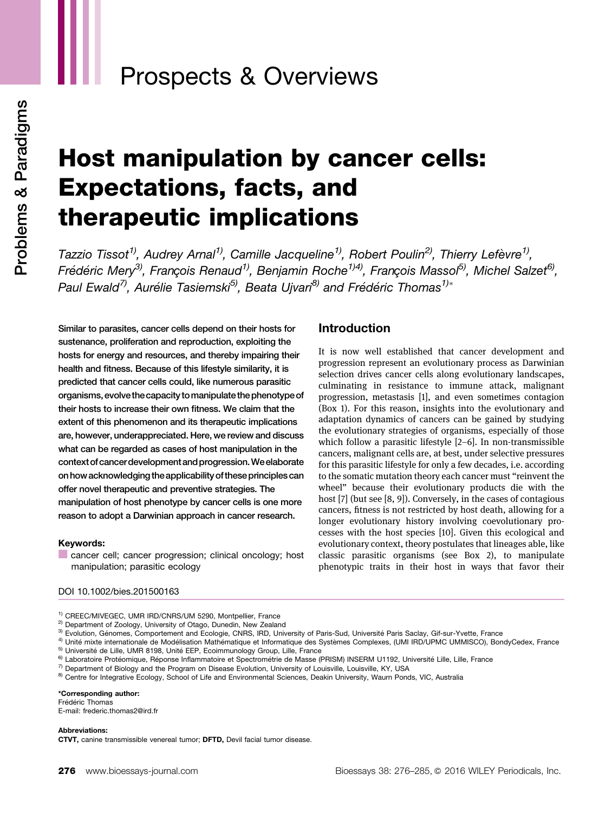# Prospects & Overviews

# Host manipulation by cancer cells: Expectations, facts, and therapeutic implications

Tazzio Tissot<sup>1)</sup>, Audrey Arnal<sup>1)</sup>, Camille Jacqueline<sup>1)</sup>, Robert Poulin<sup>2)</sup>, Thierry Lefèvre<sup>1)</sup>, Frédéric Mery<sup>3)</sup>, Francois Renaud<sup>1)</sup>, Benjamin Roche<sup>1)4)</sup>, Francois Massol<sup>5)</sup>, Michel Salzet<sup>6)</sup>, Paul Ewald<sup>7)</sup>, Aurélie Tasiemski<sup>5)</sup>, Beata Uivari<sup>8)</sup> and Frédéric Thomas<sup>1)\*</sup>

Similar to parasites, cancer cells depend on their hosts for sustenance, proliferation and reproduction, exploiting the hosts for energy and resources, and thereby impairing their health and fitness. Because of this lifestyle similarity, it is predicted that cancer cells could, like numerous parasitic organisms, evolve thecapacity tomanipulate thephenotypeof their hosts to increase their own fitness. We claim that the extent of this phenomenon and its therapeutic implications are, however, underappreciated. Here, we review and discuss what can be regarded as cases of host manipulation in the contextofcancerdevelopmentandprogression.Weelaborate on how acknowledging the applicability of theseprinciples can offer novel therapeutic and preventive strategies. The manipulation of host phenotype by cancer cells is one more reason to adopt a Darwinian approach in cancer research.

#### Keywords:

cancer cell; cancer progression; clinical oncology; host manipulation; parasitic ecology

# Introduction

It is now well established that cancer development and progression represent an evolutionary process as Darwinian selection drives cancer cells along evolutionary landscapes, culminating in resistance to immune attack, malignant progression, metastasis [1], and even sometimes contagion (Box 1). For this reason, insights into the evolutionary and adaptation dynamics of cancers can be gained by studying the evolutionary strategies of organisms, especially of those which follow a parasitic lifestyle [2–6]. In non-transmissible cancers, malignant cells are, at best, under selective pressures for this parasitic lifestyle for only a few decades, i.e. according to the somatic mutation theory each cancer must "reinvent the wheel" because their evolutionary products die with the host [7] (but see [8, 9]). Conversely, in the cases of contagious cancers, fitness is not restricted by host death, allowing for a longer evolutionary history involving coevolutionary processes with the host species [10]. Given this ecological and evolutionary context, theory postulates that lineages able, like classic parasitic organisms (see Box 2), to manipulate phenotypic traits in their host in ways that favor their

#### DOI 10.1002/bies.201500163

- 
- 
- 
- <sup>1)</sup> CREEC/MIVEGEC, UMR IRD/CNRS/UM 5290, Montpellier, France<br><sup>2)</sup> Department of Zoology, University of Otago, Dunedin, New Zealand<br><sup>2)</sup> Evolution, Génomes, Comportement and Ecologie, CNRS, IRD, University of Paris-Sud, U
- 
- 
- 

#### \*Corresponding author:

Frédéric Thomas

E-mail: frederic.thomas2@ird.fr

#### Abbreviations:

CTVT, canine transmissible venereal tumor; DFTD, Devil facial tumor disease.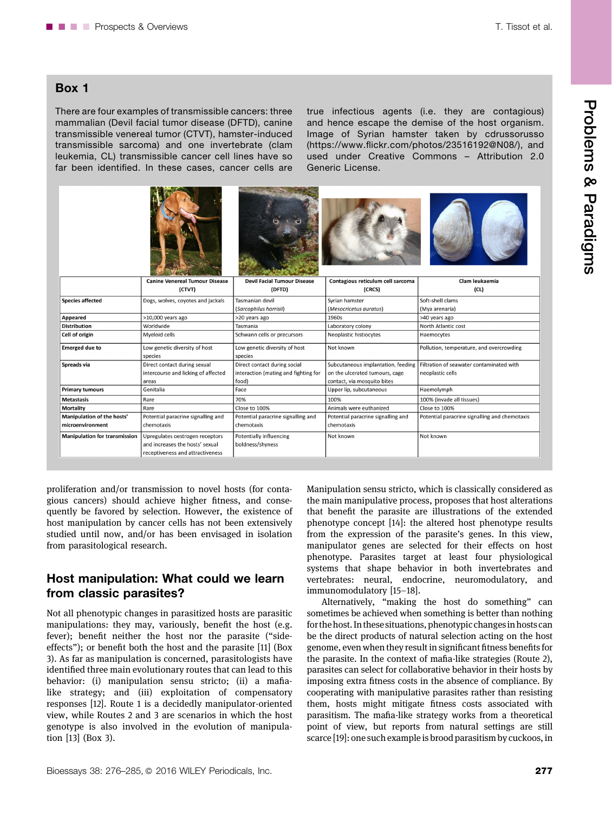# Box 1

There are four examples of transmissible cancers: three mammalian (Devil facial tumor disease (DFTD), canine transmissible venereal tumor (CTVT), hamster-induced transmissible sarcoma) and one invertebrate (clam leukemia, CL) transmissible cancer cell lines have so far been identified. In these cases, cancer cells are true infectious agents (i.e. they are contagious) and hence escape the demise of the host organism. Image of Syrian hamster taken by cdrussorusso [\(https://www.flickr.com/photos/23516192@N08/\)](https://www.flickr.com/photos/23516192@N08/), and used under Creative Commons – Attribution 2.0 Generic License.

|                                      | <b>Canine Venereal Tumour Disease</b> | <b>Devil Facial Tumour Disease</b>   | Contagious reticulum cell sarcoma  | Clam leukaemia                                |
|--------------------------------------|---------------------------------------|--------------------------------------|------------------------------------|-----------------------------------------------|
|                                      | (CTVT)                                | (DFTD)                               | (CRCS)                             | (CL)                                          |
| <b>Species affected</b>              | Dogs, wolves, coyotes and jackals     | Tasmanian devil                      | Syrian hamster                     | Soft-shell clams                              |
|                                      |                                       | (Sarcophilus harrisii)               | (Mesocricetus auratus)             | (Mya arenaria)                                |
| Appeared                             | >10,000 years ago                     | >20 years ago                        | 1960s                              | >40 years ago                                 |
| <b>Distribution</b>                  | Worldwide                             | Tasmania                             | Laboratory colony                  | North Atlantic cost                           |
| Cell of origin                       | Myeloid cells                         | Schwann cells or precursors          | Neoplastic histiocytes             | Haemocytes                                    |
| <b>Emerged due to</b>                | Low genetic diversity of host         | Low genetic diversity of host        | Not known                          | Pollution, temperature, and overcrowding      |
|                                      | species                               | species                              |                                    |                                               |
| Spreads via                          | Direct contact during sexual          | Direct contact during social         | Subcutaneous implantation, feeding | Filtration of seawater contaminated with      |
|                                      | intercourse and licking of affected   | interaction (mating and fighting for | on the ulcerated tumours, cage     | neoplastic cells                              |
|                                      | areas                                 | food)                                | contact, via mosquito bites        |                                               |
| <b>Primary tumours</b>               | Genitalia                             | Face                                 | Upper lip, subcutaneous            | Haemolymph                                    |
| <b>Metastasis</b>                    | Rare                                  | 70%                                  | 100%                               | 100% (invade all tissues)                     |
| <b>Mortality</b>                     | Rare                                  | Close to 100%                        | Animals were euthanized            | Close to 100%                                 |
| Manipulation of the hosts'           | Potential paracrine signalling and    | Potential paracrine signalling and   | Potential paracrine signalling and | Potential paracrine signalling and chemotaxis |
| microenvironment                     | chemotaxis                            | chemotaxis                           | chemotaxis                         |                                               |
| <b>Manipulation for transmission</b> | Upregulates oestrogen receptors       | Potentially influencing              | Not known                          | Not known                                     |
|                                      | and increases the hosts' sexual       | boldness/shyness                     |                                    |                                               |
|                                      | receptiveness and attractiveness      |                                      |                                    |                                               |
|                                      |                                       |                                      |                                    |                                               |

proliferation and/or transmission to novel hosts (for contagious cancers) should achieve higher fitness, and consequently be favored by selection. However, the existence of host manipulation by cancer cells has not been extensively studied until now, and/or has been envisaged in isolation from parasitological research.

## Host manipulation: What could we learn from classic parasites?

Not all phenotypic changes in parasitized hosts are parasitic manipulations: they may, variously, benefit the host (e.g. fever); benefit neither the host nor the parasite ("sideeffects"); or benefit both the host and the parasite [11] (Box 3). As far as manipulation is concerned, parasitologists have identified three main evolutionary routes that can lead to this behavior: (i) manipulation sensu stricto; (ii) a mafialike strategy; and (iii) exploitation of compensatory responses [12]. Route 1 is a decidedly manipulator-oriented view, while Routes 2 and 3 are scenarios in which the host genotype is also involved in the evolution of manipulation [13] (Box 3).

Manipulation sensu stricto, which is classically considered as the main manipulative process, proposes that host alterations that benefit the parasite are illustrations of the extended phenotype concept [14]: the altered host phenotype results from the expression of the parasite's genes. In this view, manipulator genes are selected for their effects on host phenotype. Parasites target at least four physiological systems that shape behavior in both invertebrates and vertebrates: neural, endocrine, neuromodulatory, and immunomodulatory [15–18].

Alternatively, "making the host do something" can sometimes be achieved when something is better than nothing for thehost. In these situations, phenotypicchangesin hosts can be the direct products of natural selection acting on the host genome, even when they result in significant fitness benefits for the parasite. In the context of mafia-like strategies (Route 2), parasites can select for collaborative behavior in their hosts by imposing extra fitness costs in the absence of compliance. By cooperating with manipulative parasites rather than resisting them, hosts might mitigate fitness costs associated with parasitism. The mafia-like strategy works from a theoretical point of view, but reports from natural settings are still scarce [19]: one such example is brood parasitism by cuckoos, in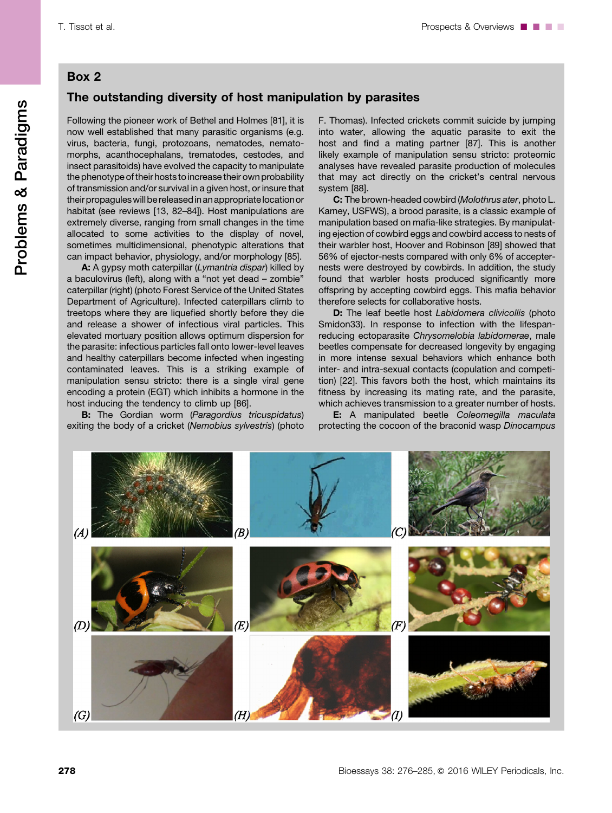# Box 2

# The outstanding diversity of host manipulation by parasites

Following the pioneer work of Bethel and Holmes [81], it is now well established that many parasitic organisms (e.g. virus, bacteria, fungi, protozoans, nematodes, nematomorphs, acanthocephalans, trematodes, cestodes, and insect parasitoids) have evolved the capacity to manipulate the phenotype of their hosts to increase their own probability of transmission and/or survival in a given host, or insure that their propagules will be released in an appropriate location or habitat (see reviews [13, 82–84]). Host manipulations are extremely diverse, ranging from small changes in the time allocated to some activities to the display of novel, sometimes multidimensional, phenotypic alterations that can impact behavior, physiology, and/or morphology [85].

A: A gypsy moth caterpillar (Lymantria dispar) killed by a baculovirus (left), along with a "not yet dead – zombie" caterpillar (right) (photo Forest Service of the United States Department of Agriculture). Infected caterpillars climb to treetops where they are liquefied shortly before they die and release a shower of infectious viral particles. This elevated mortuary position allows optimum dispersion for the parasite: infectious particles fall onto lower-level leaves and healthy caterpillars become infected when ingesting contaminated leaves. This is a striking example of manipulation sensu stricto: there is a single viral gene encoding a protein (EGT) which inhibits a hormone in the host inducing the tendency to climb up [86].

**B:** The Gordian worm (Paragordius tricuspidatus) exiting the body of a cricket (Nemobius sylvestris) (photo F. Thomas). Infected crickets commit suicide by jumping into water, allowing the aquatic parasite to exit the host and find a mating partner [87]. This is another likely example of manipulation sensu stricto: proteomic analyses have revealed parasite production of molecules that may act directly on the cricket's central nervous system [88].

C: The brown-headed cowbird (Molothrus ater, photo L. Karney, USFWS), a brood parasite, is a classic example of manipulation based on mafia-like strategies. By manipulating ejection of cowbird eggs and cowbird access to nests of their warbler host, Hoover and Robinson [89] showed that 56% of ejector-nests compared with only 6% of accepternests were destroyed by cowbirds. In addition, the study found that warbler hosts produced significantly more offspring by accepting cowbird eggs. This mafia behavior therefore selects for collaborative hosts.

D: The leaf beetle host Labidomera clivicollis (photo Smidon33). In response to infection with the lifespanreducing ectoparasite Chrysomelobia labidomerae, male beetles compensate for decreased longevity by engaging in more intense sexual behaviors which enhance both inter- and intra-sexual contacts (copulation and competition) [22]. This favors both the host, which maintains its fitness by increasing its mating rate, and the parasite, which achieves transmission to a greater number of hosts.

E: A manipulated beetle Coleomegilla maculata protecting the cocoon of the braconid wasp Dinocampus

 $(B)$  $\omega$ Œ  $(G)$  $(H)$ A.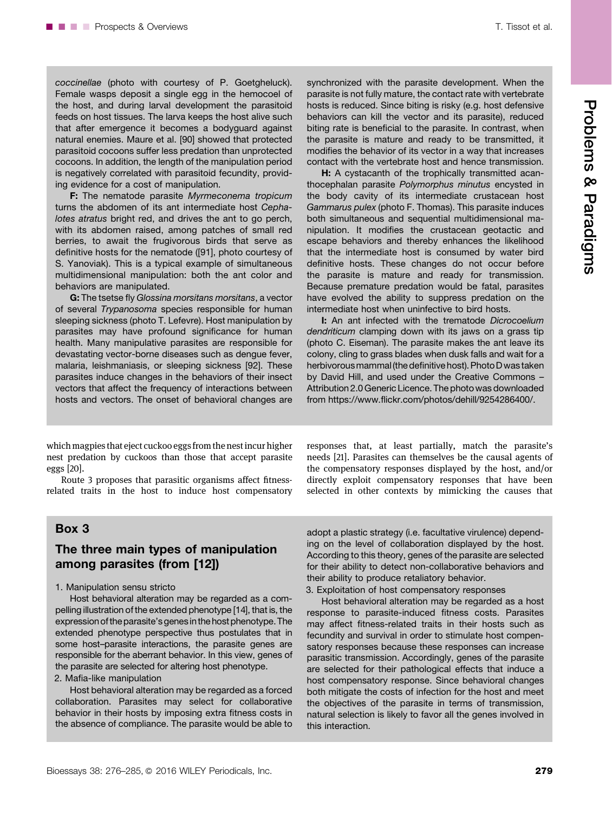coccinellae (photo with courtesy of P. Goetgheluck). Female wasps deposit a single egg in the hemocoel of the host, and during larval development the parasitoid feeds on host tissues. The larva keeps the host alive such that after emergence it becomes a bodyguard against natural enemies. Maure et al. [90] showed that protected parasitoid cocoons suffer less predation than unprotected cocoons. In addition, the length of the manipulation period is negatively correlated with parasitoid fecundity, providing evidence for a cost of manipulation.

F: The nematode parasite Myrmeconema tropicum turns the abdomen of its ant intermediate host Cephalotes atratus bright red, and drives the ant to go perch, with its abdomen raised, among patches of small red berries, to await the frugivorous birds that serve as definitive hosts for the nematode ([91], photo courtesy of S. Yanoviak). This is a typical example of simultaneous multidimensional manipulation: both the ant color and behaviors are manipulated.

G: The tsetse fly Glossina morsitans morsitans, a vector of several Trypanosoma species responsible for human sleeping sickness (photo T. Lefevre). Host manipulation by parasites may have profound significance for human health. Many manipulative parasites are responsible for devastating vector-borne diseases such as dengue fever, malaria, leishmaniasis, or sleeping sickness [92]. These parasites induce changes in the behaviors of their insect vectors that affect the frequency of interactions between hosts and vectors. The onset of behavioral changes are synchronized with the parasite development. When the parasite is not fully mature, the contact rate with vertebrate hosts is reduced. Since biting is risky (e.g. host defensive behaviors can kill the vector and its parasite), reduced biting rate is beneficial to the parasite. In contrast, when the parasite is mature and ready to be transmitted, it modifies the behavior of its vector in a way that increases contact with the vertebrate host and hence transmission.

H: A cystacanth of the trophically transmitted acanthocephalan parasite Polymorphus minutus encysted in the body cavity of its intermediate crustacean host Gammarus pulex (photo F. Thomas). This parasite induces both simultaneous and sequential multidimensional manipulation. It modifies the crustacean geotactic and escape behaviors and thereby enhances the likelihood that the intermediate host is consumed by water bird definitive hosts. These changes do not occur before the parasite is mature and ready for transmission. Because premature predation would be fatal, parasites have evolved the ability to suppress predation on the intermediate host when uninfective to bird hosts.

I: An ant infected with the trematode Dicrocoelium dendriticum clamping down with its jaws on a grass tip (photo C. Eiseman). The parasite makes the ant leave its colony, cling to grass blades when dusk falls and wait for a herbivorous mammal (the definitive host). Photo D was taken by David Hill, and used under the Creative Commons – Attribution 2.0 Generic Licence. The photo was downloaded from [https://www.flickr.com/photos/dehill/9254286400/.](https://www.flickr.com/photos/dehill/9254286400/)

which magpies that eject cuckoo eggs from the nest incur higher nest predation by cuckoos than those that accept parasite eggs [20].

Route 3 proposes that parasitic organisms affect fitnessrelated traits in the host to induce host compensatory responses that, at least partially, match the parasite's needs [21]. Parasites can themselves be the causal agents of the compensatory responses displayed by the host, and/or directly exploit compensatory responses that have been selected in other contexts by mimicking the causes that

# Box 3

## The three main types of manipulation among parasites (from [12])

#### 1. Manipulation sensu stricto

Host behavioral alteration may be regarded as a compelling illustration of the extended phenotype [14], that is, the expression of theparasite's genes in the host phenotype. The extended phenotype perspective thus postulates that in some host–parasite interactions, the parasite genes are responsible for the aberrant behavior. In this view, genes of the parasite are selected for altering host phenotype.

### 2. Mafia-like manipulation

Host behavioral alteration may be regarded as a forced collaboration. Parasites may select for collaborative behavior in their hosts by imposing extra fitness costs in the absence of compliance. The parasite would be able to adopt a plastic strategy (i.e. facultative virulence) depending on the level of collaboration displayed by the host. According to this theory, genes of the parasite are selected for their ability to detect non-collaborative behaviors and their ability to produce retaliatory behavior.

3. Exploitation of host compensatory responses

Host behavioral alteration may be regarded as a host response to parasite-induced fitness costs. Parasites may affect fitness-related traits in their hosts such as fecundity and survival in order to stimulate host compensatory responses because these responses can increase parasitic transmission. Accordingly, genes of the parasite are selected for their pathological effects that induce a host compensatory response. Since behavioral changes both mitigate the costs of infection for the host and meet the objectives of the parasite in terms of transmission, natural selection is likely to favor all the genes involved in this interaction.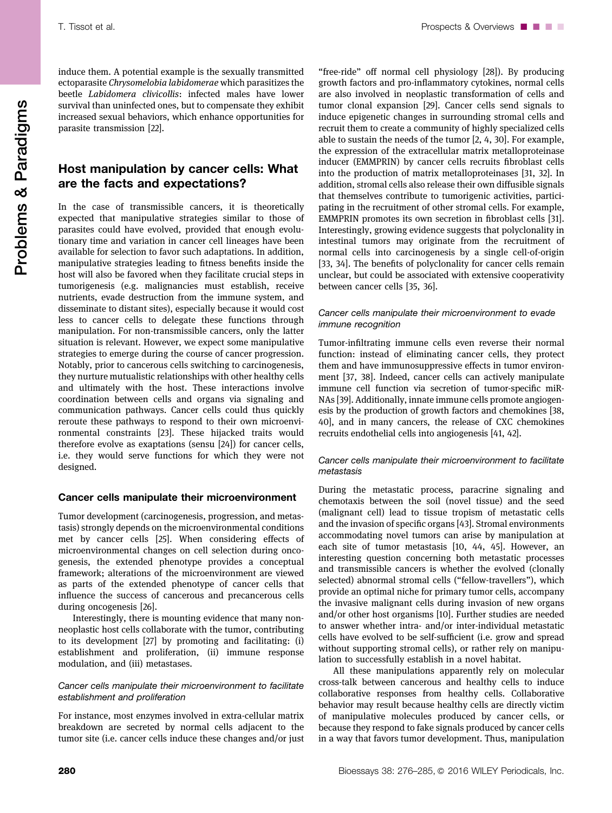induce them. A potential example is the sexually transmitted ectoparasite Chrysomelobia labidomerae which parasitizes the beetle Labidomera clivicollis: infected males have lower survival than uninfected ones, but to compensate they exhibit increased sexual behaviors, which enhance opportunities for parasite transmission [22].

# Host manipulation by cancer cells: What are the facts and expectations?

In the case of transmissible cancers, it is theoretically expected that manipulative strategies similar to those of parasites could have evolved, provided that enough evolutionary time and variation in cancer cell lineages have been available for selection to favor such adaptations. In addition, manipulative strategies leading to fitness benefits inside the host will also be favored when they facilitate crucial steps in tumorigenesis (e.g. malignancies must establish, receive nutrients, evade destruction from the immune system, and disseminate to distant sites), especially because it would cost less to cancer cells to delegate these functions through manipulation. For non-transmissible cancers, only the latter situation is relevant. However, we expect some manipulative strategies to emerge during the course of cancer progression. Notably, prior to cancerous cells switching to carcinogenesis, they nurture mutualistic relationships with other healthy cells and ultimately with the host. These interactions involve coordination between cells and organs via signaling and communication pathways. Cancer cells could thus quickly reroute these pathways to respond to their own microenvironmental constraints [23]. These hijacked traits would therefore evolve as exaptations (sensu [24]) for cancer cells, i.e. they would serve functions for which they were not designed.

## Cancer cells manipulate their microenvironment

Tumor development (carcinogenesis, progression, and metastasis) strongly depends on the microenvironmental conditions met by cancer cells [25]. When considering effects of microenvironmental changes on cell selection during oncogenesis, the extended phenotype provides a conceptual framework; alterations of the microenvironment are viewed as parts of the extended phenotype of cancer cells that influence the success of cancerous and precancerous cells during oncogenesis [26].

Interestingly, there is mounting evidence that many nonneoplastic host cells collaborate with the tumor, contributing to its development [27] by promoting and facilitating: (i) establishment and proliferation, (ii) immune response modulation, and (iii) metastases.

## Cancer cells manipulate their microenvironment to facilitate establishment and proliferation

For instance, most enzymes involved in extra-cellular matrix breakdown are secreted by normal cells adjacent to the tumor site (i.e. cancer cells induce these changes and/or just

"free-ride" off normal cell physiology [28]). By producing growth factors and pro-inflammatory cytokines, normal cells are also involved in neoplastic transformation of cells and tumor clonal expansion [29]. Cancer cells send signals to induce epigenetic changes in surrounding stromal cells and recruit them to create a community of highly specialized cells able to sustain the needs of the tumor [2, 4, 30]. For example, the expression of the extracellular matrix metalloproteinase inducer (EMMPRIN) by cancer cells recruits fibroblast cells into the production of matrix metalloproteinases [31, 32]. In addition, stromal cells also release their own diffusible signals that themselves contribute to tumorigenic activities, participating in the recruitment of other stromal cells. For example, EMMPRIN promotes its own secretion in fibroblast cells [31]. Interestingly, growing evidence suggests that polyclonality in intestinal tumors may originate from the recruitment of normal cells into carcinogenesis by a single cell-of-origin [33, 34]. The benefits of polyclonality for cancer cells remain unclear, but could be associated with extensive cooperativity between cancer cells [35, 36].

### Cancer cells manipulate their microenvironment to evade immune recognition

Tumor-infiltrating immune cells even reverse their normal function: instead of eliminating cancer cells, they protect them and have immunosuppressive effects in tumor environment [37, 38]. Indeed, cancer cells can actively manipulate immune cell function via secretion of tumor-specific miR-NAs [39]. Additionally, innate immune cells promote angiogenesis by the production of growth factors and chemokines [38, 40], and in many cancers, the release of CXC chemokines recruits endothelial cells into angiogenesis [41, 42].

### Cancer cells manipulate their microenvironment to facilitate metastasis

During the metastatic process, paracrine signaling and chemotaxis between the soil (novel tissue) and the seed (malignant cell) lead to tissue tropism of metastatic cells and the invasion of specific organs [43]. Stromal environments accommodating novel tumors can arise by manipulation at each site of tumor metastasis [10, 44, 45]. However, an interesting question concerning both metastatic processes and transmissible cancers is whether the evolved (clonally selected) abnormal stromal cells ("fellow-travellers"), which provide an optimal niche for primary tumor cells, accompany the invasive malignant cells during invasion of new organs and/or other host organisms [10]. Further studies are needed to answer whether intra- and/or inter-individual metastatic cells have evolved to be self-sufficient (i.e. grow and spread without supporting stromal cells), or rather rely on manipulation to successfully establish in a novel habitat.

All these manipulations apparently rely on molecular cross-talk between cancerous and healthy cells to induce collaborative responses from healthy cells. Collaborative behavior may result because healthy cells are directly victim of manipulative molecules produced by cancer cells, or because they respond to fake signals produced by cancer cells in a way that favors tumor development. Thus, manipulation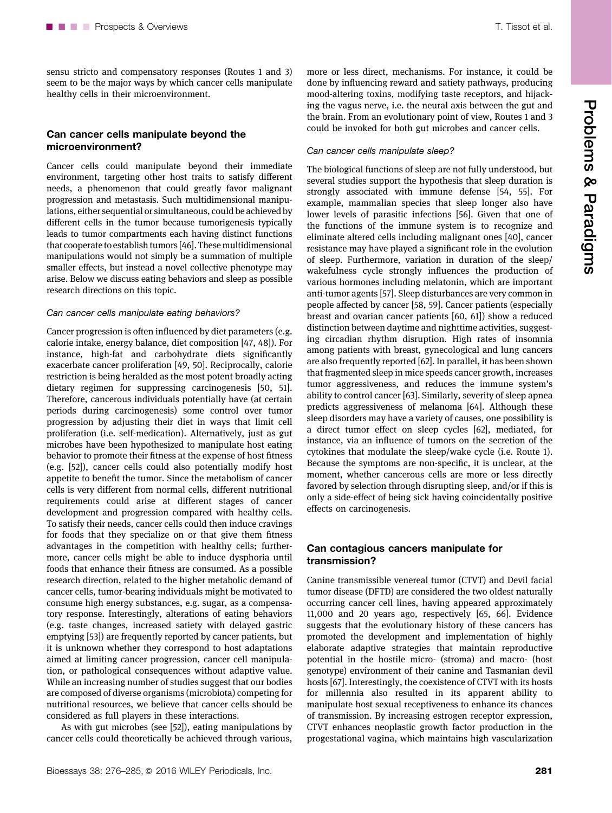sensu stricto and compensatory responses (Routes 1 and 3) seem to be the major ways by which cancer cells manipulate healthy cells in their microenvironment.

### Can cancer cells manipulate beyond the microenvironment?

Cancer cells could manipulate beyond their immediate environment, targeting other host traits to satisfy different needs, a phenomenon that could greatly favor malignant progression and metastasis. Such multidimensional manipulations, either sequential or simultaneous, could be achieved by different cells in the tumor because tumorigenesis typically leads to tumor compartments each having distinct functions that cooperate to establish tumors [46]. These multidimensional manipulations would not simply be a summation of multiple smaller effects, but instead a novel collective phenotype may arise. Below we discuss eating behaviors and sleep as possible research directions on this topic.

#### Can cancer cells manipulate eating behaviors?

Cancer progression is often influenced by diet parameters (e.g. calorie intake, energy balance, diet composition [47, 48]). For instance, high-fat and carbohydrate diets significantly exacerbate cancer proliferation [49, 50]. Reciprocally, calorie restriction is being heralded as the most potent broadly acting dietary regimen for suppressing carcinogenesis [50, 51]. Therefore, cancerous individuals potentially have (at certain periods during carcinogenesis) some control over tumor progression by adjusting their diet in ways that limit cell proliferation (i.e. self-medication). Alternatively, just as gut microbes have been hypothesized to manipulate host eating behavior to promote their fitness at the expense of host fitness (e.g. [52]), cancer cells could also potentially modify host appetite to benefit the tumor. Since the metabolism of cancer cells is very different from normal cells, different nutritional requirements could arise at different stages of cancer development and progression compared with healthy cells. To satisfy their needs, cancer cells could then induce cravings for foods that they specialize on or that give them fitness advantages in the competition with healthy cells; furthermore, cancer cells might be able to induce dysphoria until foods that enhance their fitness are consumed. As a possible research direction, related to the higher metabolic demand of cancer cells, tumor-bearing individuals might be motivated to consume high energy substances, e.g. sugar, as a compensatory response. Interestingly, alterations of eating behaviors (e.g. taste changes, increased satiety with delayed gastric emptying [53]) are frequently reported by cancer patients, but it is unknown whether they correspond to host adaptations aimed at limiting cancer progression, cancer cell manipulation, or pathological consequences without adaptive value. While an increasing number of studies suggest that our bodies are composed of diverse organisms (microbiota) competing for nutritional resources, we believe that cancer cells should be considered as full players in these interactions.

As with gut microbes (see [52]), eating manipulations by cancer cells could theoretically be achieved through various, more or less direct, mechanisms. For instance, it could be done by influencing reward and satiety pathways, producing mood-altering toxins, modifying taste receptors, and hijacking the vagus nerve, i.e. the neural axis between the gut and the brain. From an evolutionary point of view, Routes 1 and 3 could be invoked for both gut microbes and cancer cells.

#### Can cancer cells manipulate sleep?

The biological functions of sleep are not fully understood, but several studies support the hypothesis that sleep duration is strongly associated with immune defense [54, 55]. For example, mammalian species that sleep longer also have lower levels of parasitic infections [56]. Given that one of the functions of the immune system is to recognize and eliminate altered cells including malignant ones [40], cancer resistance may have played a significant role in the evolution of sleep. Furthermore, variation in duration of the sleep/ wakefulness cycle strongly influences the production of various hormones including melatonin, which are important anti-tumor agents [57]. Sleep disturbances are very common in people affected by cancer [58, 59]. Cancer patients (especially breast and ovarian cancer patients [60, 61]) show a reduced distinction between daytime and nighttime activities, suggesting circadian rhythm disruption. High rates of insomnia among patients with breast, gynecological and lung cancers are also frequently reported [62]. In parallel, it has been shown that fragmented sleep in mice speeds cancer growth, increases tumor aggressiveness, and reduces the immune system's ability to control cancer [63]. Similarly, severity of sleep apnea predicts aggressiveness of melanoma [64]. Although these sleep disorders may have a variety of causes, one possibility is a direct tumor effect on sleep cycles [62], mediated, for instance, via an influence of tumors on the secretion of the cytokines that modulate the sleep/wake cycle (i.e. Route 1). Because the symptoms are non-specific, it is unclear, at the moment, whether cancerous cells are more or less directly favored by selection through disrupting sleep, and/or if this is only a side-effect of being sick having coincidentally positive effects on carcinogenesis.

### Can contagious cancers manipulate for transmission?

Canine transmissible venereal tumor (CTVT) and Devil facial tumor disease (DFTD) are considered the two oldest naturally occurring cancer cell lines, having appeared approximately 11,000 and 20 years ago, respectively [65, 66]. Evidence suggests that the evolutionary history of these cancers has promoted the development and implementation of highly elaborate adaptive strategies that maintain reproductive potential in the hostile micro- (stroma) and macro- (host genotype) environment of their canine and Tasmanian devil hosts [67]. Interestingly, the coexistence of CTVT with its hosts for millennia also resulted in its apparent ability to manipulate host sexual receptiveness to enhance its chances of transmission. By increasing estrogen receptor expression, CTVT enhances neoplastic growth factor production in the progestational vagina, which maintains high vascularization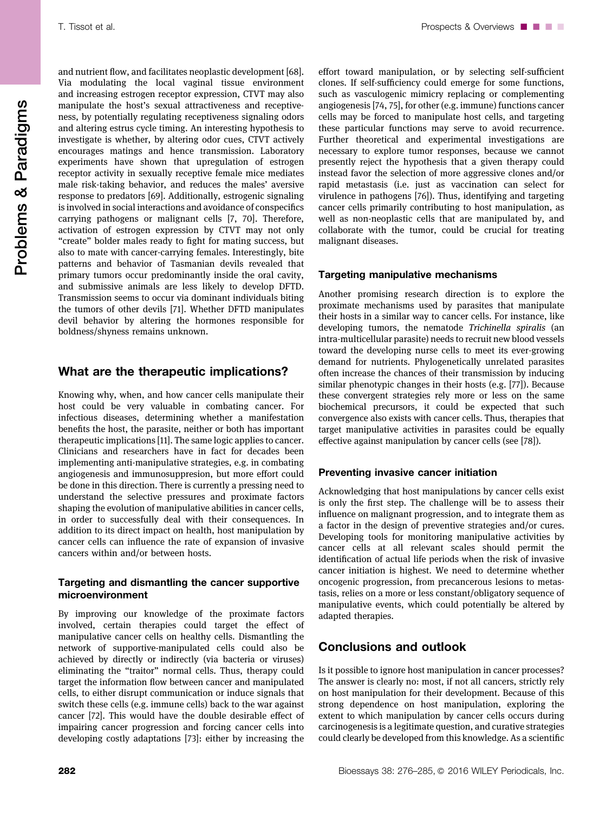Problems & Paradigms Problems & Paradigms

and nutrient flow, and facilitates neoplastic development [68]. Via modulating the local vaginal tissue environment and increasing estrogen receptor expression, CTVT may also manipulate the host's sexual attractiveness and receptiveness, by potentially regulating receptiveness signaling odors and altering estrus cycle timing. An interesting hypothesis to investigate is whether, by altering odor cues, CTVT actively encourages matings and hence transmission. Laboratory experiments have shown that upregulation of estrogen receptor activity in sexually receptive female mice mediates male risk-taking behavior, and reduces the males' aversive response to predators [69]. Additionally, estrogenic signaling is involved in social interactions and avoidance of conspecifics carrying pathogens or malignant cells [7, 70]. Therefore, activation of estrogen expression by CTVT may not only "create" bolder males ready to fight for mating success, but also to mate with cancer-carrying females. Interestingly, bite patterns and behavior of Tasmanian devils revealed that primary tumors occur predominantly inside the oral cavity, and submissive animals are less likely to develop DFTD. Transmission seems to occur via dominant individuals biting the tumors of other devils [71]. Whether DFTD manipulates devil behavior by altering the hormones responsible for boldness/shyness remains unknown.

## What are the therapeutic implications?

Knowing why, when, and how cancer cells manipulate their host could be very valuable in combating cancer. For infectious diseases, determining whether a manifestation benefits the host, the parasite, neither or both has important therapeutic implications [11]. The same logic applies to cancer. Clinicians and researchers have in fact for decades been implementing anti-manipulative strategies, e.g. in combating angiogenesis and immunosuppresion, but more effort could be done in this direction. There is currently a pressing need to understand the selective pressures and proximate factors shaping the evolution of manipulative abilities in cancer cells, in order to successfully deal with their consequences. In addition to its direct impact on health, host manipulation by cancer cells can influence the rate of expansion of invasive cancers within and/or between hosts.

## Targeting and dismantling the cancer supportive microenvironment

By improving our knowledge of the proximate factors involved, certain therapies could target the effect of manipulative cancer cells on healthy cells. Dismantling the network of supportive-manipulated cells could also be achieved by directly or indirectly (via bacteria or viruses) eliminating the "traitor" normal cells. Thus, therapy could target the information flow between cancer and manipulated cells, to either disrupt communication or induce signals that switch these cells (e.g. immune cells) back to the war against cancer [72]. This would have the double desirable effect of impairing cancer progression and forcing cancer cells into developing costly adaptations [73]: either by increasing the

effort toward manipulation, or by selecting self-sufficient clones. If self-sufficiency could emerge for some functions, such as vasculogenic mimicry replacing or complementing angiogenesis [74, 75], for other (e.g. immune) functions cancer cells may be forced to manipulate host cells, and targeting these particular functions may serve to avoid recurrence. Further theoretical and experimental investigations are necessary to explore tumor responses, because we cannot presently reject the hypothesis that a given therapy could instead favor the selection of more aggressive clones and/or rapid metastasis (i.e. just as vaccination can select for virulence in pathogens [76]). Thus, identifying and targeting cancer cells primarily contributing to host manipulation, as well as non-neoplastic cells that are manipulated by, and collaborate with the tumor, could be crucial for treating malignant diseases.

## Targeting manipulative mechanisms

Another promising research direction is to explore the proximate mechanisms used by parasites that manipulate their hosts in a similar way to cancer cells. For instance, like developing tumors, the nematode Trichinella spiralis (an intra-multicellular parasite) needs to recruit new blood vessels toward the developing nurse cells to meet its ever-growing demand for nutrients. Phylogenetically unrelated parasites often increase the chances of their transmission by inducing similar phenotypic changes in their hosts (e.g. [77]). Because these convergent strategies rely more or less on the same biochemical precursors, it could be expected that such convergence also exists with cancer cells. Thus, therapies that target manipulative activities in parasites could be equally effective against manipulation by cancer cells (see [78]).

## Preventing invasive cancer initiation

Acknowledging that host manipulations by cancer cells exist is only the first step. The challenge will be to assess their influence on malignant progression, and to integrate them as a factor in the design of preventive strategies and/or cures. Developing tools for monitoring manipulative activities by cancer cells at all relevant scales should permit the identification of actual life periods when the risk of invasive cancer initiation is highest. We need to determine whether oncogenic progression, from precancerous lesions to metastasis, relies on a more or less constant/obligatory sequence of manipulative events, which could potentially be altered by adapted therapies.

# Conclusions and outlook

Is it possible to ignore host manipulation in cancer processes? The answer is clearly no: most, if not all cancers, strictly rely on host manipulation for their development. Because of this strong dependence on host manipulation, exploring the extent to which manipulation by cancer cells occurs during carcinogenesis is a legitimate question, and curative strategies could clearly be developed from this knowledge. As a scientific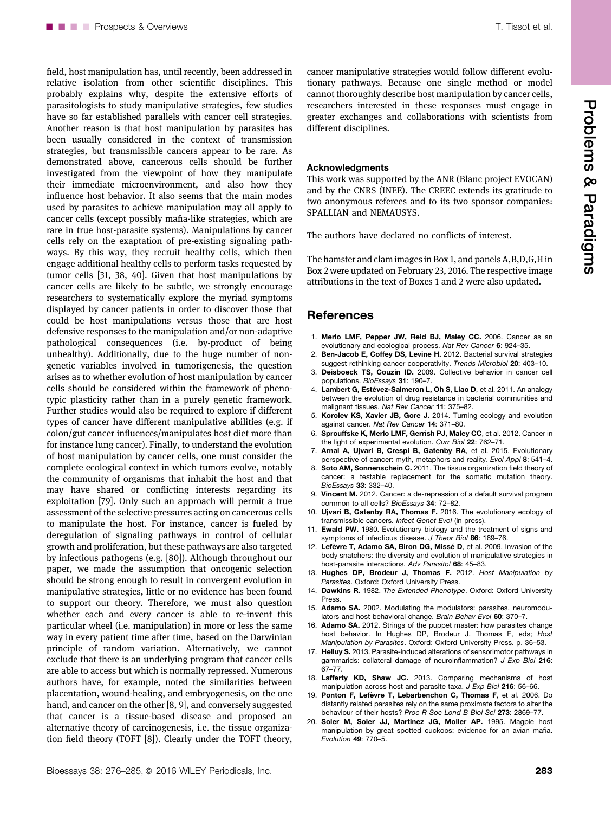field, host manipulation has, until recently, been addressed in relative isolation from other scientific disciplines. This probably explains why, despite the extensive efforts of parasitologists to study manipulative strategies, few studies have so far established parallels with cancer cell strategies. Another reason is that host manipulation by parasites has been usually considered in the context of transmission strategies, but transmissible cancers appear to be rare. As demonstrated above, cancerous cells should be further investigated from the viewpoint of how they manipulate their immediate microenvironment, and also how they influence host behavior. It also seems that the main modes used by parasites to achieve manipulation may all apply to cancer cells (except possibly mafia-like strategies, which are rare in true host-parasite systems). Manipulations by cancer cells rely on the exaptation of pre-existing signaling pathways. By this way, they recruit healthy cells, which then engage additional healthy cells to perform tasks requested by tumor cells [31, 38, 40]. Given that host manipulations by cancer cells are likely to be subtle, we strongly encourage researchers to systematically explore the myriad symptoms displayed by cancer patients in order to discover those that could be host manipulations versus those that are host defensive responses to the manipulation and/or non-adaptive pathological consequences (i.e. by-product of being unhealthy). Additionally, due to the huge number of nongenetic variables involved in tumorigenesis, the question arises as to whether evolution of host manipulation by cancer cells should be considered within the framework of phenotypic plasticity rather than in a purely genetic framework. Further studies would also be required to explore if different types of cancer have different manipulative abilities (e.g. if colon/gut cancer influences/manipulates host diet more than for instance lung cancer). Finally, to understand the evolution of host manipulation by cancer cells, one must consider the complete ecological context in which tumors evolve, notably the community of organisms that inhabit the host and that may have shared or conflicting interests regarding its exploitation [79]. Only such an approach will permit a true assessment of the selective pressures acting on cancerous cells to manipulate the host. For instance, cancer is fueled by deregulation of signaling pathways in control of cellular growth and proliferation, but these pathways are also targeted by infectious pathogens (e.g. [80]). Although throughout our paper, we made the assumption that oncogenic selection should be strong enough to result in convergent evolution in manipulative strategies, little or no evidence has been found to support our theory. Therefore, we must also question whether each and every cancer is able to re-invent this particular wheel (i.e. manipulation) in more or less the same way in every patient time after time, based on the Darwinian principle of random variation. Alternatively, we cannot exclude that there is an underlying program that cancer cells are able to access but which is normally repressed. Numerous authors have, for example, noted the similarities between placentation, wound-healing, and embryogenesis, on the one hand, and cancer on the other [8, 9], and conversely suggested that cancer is a tissue-based disease and proposed an alternative theory of carcinogenesis, i.e. the tissue organization field theory (TOFT [8]). Clearly under the TOFT theory, cancer manipulative strategies would follow different evolutionary pathways. Because one single method or model cannot thoroughly describe host manipulation by cancer cells, researchers interested in these responses must engage in greater exchanges and collaborations with scientists from different disciplines.

#### Acknowledgments

This work was supported by the ANR (Blanc project EVOCAN) and by the CNRS (INEE). The CREEC extends its gratitude to two anonymous referees and to its two sponsor companies: SPALLIAN and NEMAUSYS.

The authors have declared no conflicts of interest.

The hamster and clam images in Box 1, and panels A,B,D,G,H in Box 2 were updated on February 23, 2016. The respective image attributions in the text of Boxes 1 and 2 were also updated.

## **References**

- 1. Merlo LMF, Pepper JW, Reid BJ, Maley CC. 2006. Cancer as an evolutionary and ecological process. Nat Rev Cancer 6: 924-35.
- 2. Ben-Jacob E, Coffey DS, Levine H. 2012. Bacterial survival strategies suggest rethinking cancer cooperativity. Trends Microbiol 20: 403–10.
- 3. Deisboeck TS, Couzin ID. 2009. Collective behavior in cancer cell populations. BioEssays 31: 190–7.
- 4. Lambert G, Estévez-Salmeron L, Oh S, Liao D, et al. 2011. An analogy between the evolution of drug resistance in bacterial communities and malignant tissues. Nat Rev Cancer 11: 375–82.
- 5. Korolev KS, Xavier JB, Gore J. 2014. Turning ecology and evolution against cancer. Nat Rev Cancer 14: 371–80.
- 6. Sprouffske K, Merlo LMF, Gerrish PJ, Maley CC, et al. 2012. Cancer in the light of experimental evolution. Curr Biol 22: 762–71.
- 7. Arnal A, Ujvari B, Crespi B, Gatenby RA, et al. 2015. Evolutionary perspective of cancer: myth, metaphors and reality. Evol Appl 8: 541-4.
- 8. Soto AM, Sonnenschein C. 2011. The tissue organization field theory of cancer: a testable replacement for the somatic mutation theory. BioEssays 33: 332–40.
- 9. Vincent M. 2012. Cancer: a de-repression of a default survival program common to all cells? BioEssays 34: 72-82
- 10. Ujvari B, Gatenby RA, Thomas F. 2016. The evolutionary ecology of transmissible cancers. Infect Genet Evol (in press).
- 11. Ewald PW. 1980. Evolutionary biology and the treatment of signs and symptoms of infectious disease. J Theor Biol 86: 169-76.
- 12. Lefèvre T, Adamo SA, Biron DG, Missé D, et al. 2009. Invasion of the body snatchers: the diversity and evolution of manipulative strategies in host-parasite interactions. Adv Parasitol 68: 45-83.
- 13. Hughes DP, Brodeur J, Thomas F. 2012. Host Manipulation by Parasites. Oxford: Oxford University Press.
- 14. Dawkins R. 1982. The Extended Phenotype. Oxford: Oxford University Press.
- 15. Adamo SA. 2002. Modulating the modulators: parasites, neuromodulators and host behavioral change. Brain Behav Evol 60: 370-7.
- 16. Adamo SA. 2012. Strings of the puppet master: how parasites change host behavior. In Hughes DP, Brodeur J, Thomas F, eds; Host Manipulation by Parasites. Oxford: Oxford University Press. p. 36–53.
- 17. Helluy S. 2013. Parasite-induced alterations of sensorimotor pathways in gammarids: collateral damage of neuroinflammation? J Exp Biol 216: 67–77.
- 18. Lafferty KD, Shaw JC. 2013. Comparing mechanisms of host manipulation across host and parasite taxa. *J Exp Biol* 216: 56–66.
- 19. Ponton F, Lefèvre T, Lebarbenchon C, Thomas F, et al. 2006. Do distantly related parasites rely on the same proximate factors to alter the behaviour of their hosts? Proc R Soc Lond B Biol Sci 273: 2869–77.
- 20. Soler M, Soler JJ, Martinez JG, Moller AP. 1995. Magpie host manipulation by great spotted cuckoos: evidence for an avian mafia. Evolution 49: 770–5.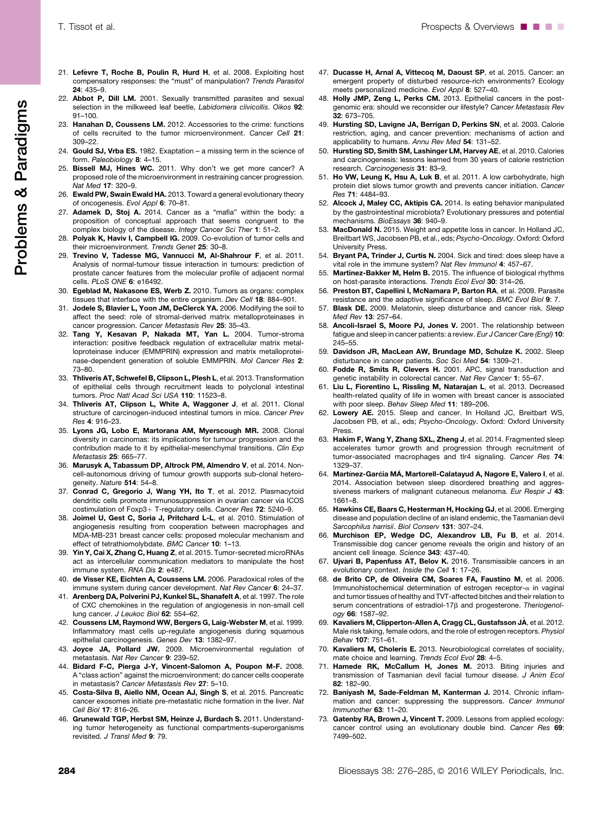- 21. Lefèvre T, Roche B, Poulin R, Hurd H, et al. 2008. Exploiting host compensatory responses: the "must" of manipulation? Trends Parasitol 24: 435–9.
- 22. Abbot P, Dill LM. 2001. Sexually transmitted parasites and sexual selection in the milkweed leaf beetle. *Labidomera clivicollis*. Oikos 92: 91–100.
- 23. Hanahan D, Coussens LM. 2012. Accessories to the crime: functions of cells recruited to the tumor microenvironment. Cancer Cell 21: 309–22.
- 24. Gould SJ, Vrba ES. 1982. Exaptation a missing term in the science of form. Paleobiology 8: 4–15.
- 25. Bissell MJ, Hines WC. 2011. Why don't we get more cancer? A proposed role of the microenvironment in restraining cancer progression. Nat Med 17: 320–9.
- 26. Ewald PW, Swain Ewald HA. 2013. Toward a general evolutionary theory of oncogenesis. Evol Appl 6: 70–81.
- 27. Adamek D, Stoj A. 2014. Cancer as a "mafia" within the body: a proposition of conceptual approach that seems congruent to the complex biology of the disease. Integr Cancer Sci Ther 1: 51-2.
- 28. Polyak K, Haviv I, Campbell IG. 2009. Co-evolution of tumor cells and their microenvironment. Trends Genet 25: 30–8.
- 29. Trevino V, Tadesse MG, Vannucci M, Al-Shahrour F, et al. 2011. Analysis of normal-tumour tissue interaction in tumours: prediction of prostate cancer features from the molecular profile of adjacent normal cells. PLoS ONE 6: e16492.
- 30. Egeblad M, Nakasone ES, Werb Z. 2010. Tumors as organs: complex tissues that interface with the entire organism. Dev Cell 18: 884–901.
- 31. Jodele S, Blavier L, Yoon JM, DeClerck YA. 2006. Modifying the soil to affect the seed: role of stromal-derived matrix metalloproteinases in cancer progression. Cancer Metastasis Rev 25: 35–43.
- 32. Tang Y, Kesavan P, Nakada MT, Yan L. 2004. Tumor-stroma interaction: positive feedback regulation of extracellular matrix metalloproteinase inducer (EMMPRIN) expression and matrix metalloproteinase-dependent generation of soluble EMMPRIN. Mol Cancer Res 2: 73–80.
- 33. Thliveris AT, Schwefel B, Clipson L, Plesh L, et al. 2013. Transformation of epithelial cells through recruitment leads to polyclonal intestinal tumors. Proc Natl Acad Sci USA 110: 11523-8.
- 34. Thliveris AT, Clipson L, White A, Waggoner J, et al. 2011. Clonal structure of carcinogen-induced intestinal tumors in mice. Cancer Prev Res 4: 916–23.
- 35. Lyons JG, Lobo E, Martorana AM, Myerscough MR. 2008. Clonal diversity in carcinomas: its implications for tumour progression and the contribution made to it by epithelial-mesenchymal transitions. Clin Exp Metastasis 25: 665–77.
- 36. Marusyk A, Tabassum DP, Altrock PM, Almendro V, et al. 2014. Noncell-autonomous driving of tumour growth supports sub-clonal heterogeneity. Nature 514: 54–8.
- 37. Conrad C, Gregorio J, Wang YH, Ito T, et al. 2012. Plasmacytoid dendritic cells promote immunosuppression in ovarian cancer via ICOS costimulation of Foxp3+ T-regulatory cells. Cancer Res 72: 5240-9.
- 38. Joimel U, Gest C, Soria J, Pritchard L-L, et al. 2010. Stimulation of angiogenesis resulting from cooperation between macrophages and MDA-MB-231 breast cancer cells: proposed molecular mechanism and effect of tetrathiomolybdate. BMC Cancer 10: 1–13.
- 39. Yin Y, Cai X, Zhang C, Huang Z, et al. 2015. Tumor-secreted microRNAs act as intercellular communication mediators to manipulate the host immune system. RNA Dis 2: e487.
- 40. de Visser KE, Eichten A, Coussens LM. 2006. Paradoxical roles of the immune system during cancer development. Nat Rev Cancer 6: 24-37.
- 41. Arenberg DA, Polverini PJ, Kunkel SL, Shanafelt A, et al. 1997. The role of CXC chemokines in the regulation of angiogenesis in non-small cell lung cancer. J Leukoc Biol 62: 554-62.
- 42. Coussens LM, Raymond WW, Bergers G, Laig-Webster M, et al. 1999. Inflammatory mast cells up-regulate angiogenesis during squamous epithelial carcinogenesis. Genes Dev 13: 1382–97.
- 43. Joyce JA, Pollard JW. 2009. Microenvironmental regulation of metastasis. Nat Rev Cancer 9: 239–52.
- 44. Bidard F-C, Pierga J-Y, Vincent-Salomon A, Poupon M-F. 2008. A "class action" against the microenvironment: do cancer cells cooperate in metastasis? Cancer Metastasis Rev 27: 5–10.
- 45. Costa-Silva B, Aiello NM, Ocean AJ, Singh S, et al. 2015. Pancreatic cancer exosomes initiate pre-metastatic niche formation in the liver. Nat Cell Biol 17: 816–26.
- 46. Grunewald TGP, Herbst SM, Heinze J, Burdach S. 2011. Understanding tumor heterogeneity as functional compartments-superorganisms revisited. J Transl Med 9: 79.
- 47. Ducasse H, Arnal A, Vittecoq M, Daoust SP, et al. 2015. Cancer: an emergent property of disturbed resource-rich environments? Ecology meets personalized medicine. Evol Appl 8: 527–40.
- 48. Holly JMP, Zeng L, Perks CM. 2013. Epithelial cancers in the nostgenomic era: should we reconsider our lifestyle? Cancer Metastasis Rev 32: 673–705.
- 49. Hursting SD, Lavigne JA, Berrigan D, Perkins SN, et al. 2003. Calorie restriction, aging, and cancer prevention: mechanisms of action and applicability to humans. Annu Rev Med 54: 131-52.
- 50. Hursting SD, Smith SM, Lashinger LM, Harvey AE, et al. 2010. Calories and carcinogenesis: lessons learned from 30 years of calorie restriction research. Carcinogenesis 31: 83-9.
- 51. Ho VW, Leung K, Hsu A, Luk B, et al. 2011. A low carbohydrate, high protein diet slows tumor growth and prevents cancer initiation. Cancer Res 71: 4484–93.
- 52. Alcock J, Maley CC, Aktipis CA. 2014. Is eating behavior manipulated by the gastrointestinal microbiota? Evolutionary pressures and potential mechanisms. BioEssays 36: 940-9.
- 53. MacDonald N. 2015. Weight and appetite loss in cancer. In Holland JC, Breitbart WS, Jacobsen PB, et al., eds; Psycho-Oncology. Oxford: Oxford University Press.
- 54. Bryant PA, Trinder J, Curtis N. 2004. Sick and tired: does sleep have a vital role in the immune system? Nat Rev Immunol 4: 457-67
- 55. Martinez-Bakker M, Helm B. 2015. The influence of biological rhythms on host-parasite interactions. Trends Ecol Evol 30: 314–26.
- 56. Preston BT, Capellini I, McNamara P, Barton RA, et al. 2009. Parasite resistance and the adaptive significance of sleep. BMC Evol Biol 9: 7.
- Blask DE. 2009. Melatonin, sleep disturbance and cancer risk. Sleep Med Rev 13: 257–64.
- 58. Ancoli-Israel S, Moore PJ, Jones V. 2001. The relationship between fatigue and sleep in cancer patients: a review. Eur J Cancer Care (Engl) 10: 245–55.
- Davidson JR, MacLean AW, Brundage MD, Schulze K. 2002. Sleep disturbance in cancer patients. Soc Sci Med 54: 1309–21.
- 60. Fodde R, Smits R, Clevers H. 2001. APC, signal transduction and genetic instability in colorectal cancer. Nat Rev Cancer 1: 55-67.
- 61. Liu L, Fiorentino L, Rissling M, Natarajan L, et al. 2013. Decreased health-related quality of life in women with breast cancer is associated with poor sleep. Behav Sleep Med 11: 189-206.
- 62. Lowery AE. 2015. Sleep and cancer. In Holland JC, Breitbart WS, Jacobsen PB, et al., eds; Psycho-Oncology. Oxford: Oxford University **Press**
- 63. Hakim F, Wang Y, Zhang SXL, Zheng J, et al. 2014. Fragmented sleep accelerates tumor growth and progression through recruitment of tumor-associated macrophages and tlr4 signaling. Cancer Res 74: 1329–37.
- 64. Martínez-Garćia MÁ, Martorell-Calatayud A, Nagore E, Valero I, et al. 2014. Association between sleep disordered breathing and aggressiveness markers of malignant cutaneous melanoma. Eur Respir J 43: 1661–8.
- 65. Hawkins CE, Baars C, Hesterman H, Hocking GJ, et al. 2006. Emerging disease and population decline of an island endemic, the Tasmanian devil Sarcophilus harrisii. Biol Conserv 131: 307–24.
- 66. Murchison EP, Wedge DC, Alexandrov LB, Fu B, et al. 2014. Transmissible dog cancer genome reveals the origin and history of an ancient cell lineage. Science 343: 437–40.
- 67. Ujvari B, Papenfuss AT, Belov K. 2016. Transmissible cancers in an evolutionary context. Inside the Cell 1: 17–26.
- de Brito CP, de Oliveira CM, Soares FA, Faustino M, et al. 2006. Immunohistochemical determination of estrogen receptor-a in vaginal and tumor tissues of healthy and TVT-affected bitches and their relation to serum concentrations of estradiol-17 $\beta$  and progesterone. Theriogenology 66: 1587–92.
- 69. Kavaliers M, Clipperton-Allen A, Cragg CL, Gustafsson JA, et al. 2012. Male risk taking, female odors, and the role of estrogen receptors. Physiol Behav 107: 751–61.
- 70. Kavaliers M, Choleris E. 2013. Neurobiological correlates of sociality, mate choice and learning. Trends Ecol Evol 28: 4-5
- 71. Hamede RK, McCallum H, Jones M. 2013. Biting injuries and transmission of Tasmanian devil facial tumour disease. J Anim Ecol 82: 182–90.
- 72. Baniyash M, Sade-Feldman M, Kanterman J. 2014. Chronic inflammation and cancer: suppressing the suppressors. Cancer Immunol Immunother 63: 11–20.
- 73. Gatenby RA, Brown J, Vincent T. 2009. Lessons from applied ecology: cancer control using an evolutionary double bind. Cancer Res 69: 7499–502.